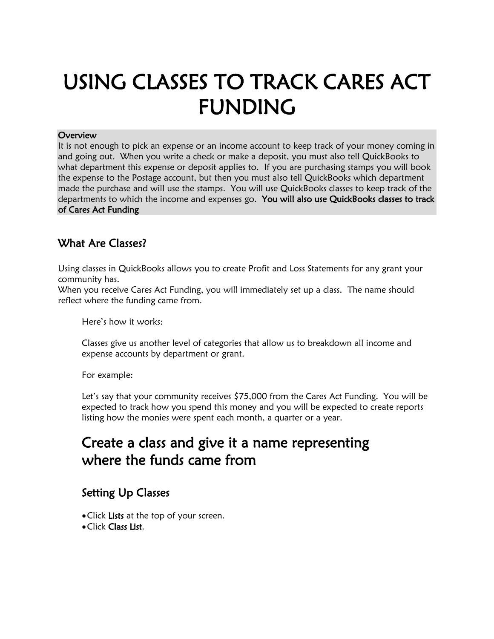# USING CLASSES TO TRACK CARES ACT FUNDING

#### **Overview**

It is not enough to pick an expense or an income account to keep track of your money coming in and going out. When you write a check or make a deposit, you must also tell QuickBooks to what department this expense or deposit applies to. If you are purchasing stamps you will book the expense to the Postage account, but then you must also tell QuickBooks which department made the purchase and will use the stamps. You will use QuickBooks classes to keep track of the departments to which the income and expenses go. You will also use QuickBooks classes to track of Cares Act Funding

#### What Are Classes?

Using classes in QuickBooks allows you to create Profit and Loss Statements for any grant your community has.

When you receive Cares Act Funding, you will immediately set up a class. The name should reflect where the funding came from.

Here's how it works:

Classes give us another level of categories that allow us to breakdown all income and expense accounts by department or grant.

For example:

Let's say that your community receives \$75,000 from the Cares Act Funding. You will be expected to track how you spend this money and you will be expected to create reports listing how the monies were spent each month, a quarter or a year.

## Create a class and give it a name representing where the funds came from

#### Setting Up Classes

- Click Lists at the top of your screen.
- •Click Class List.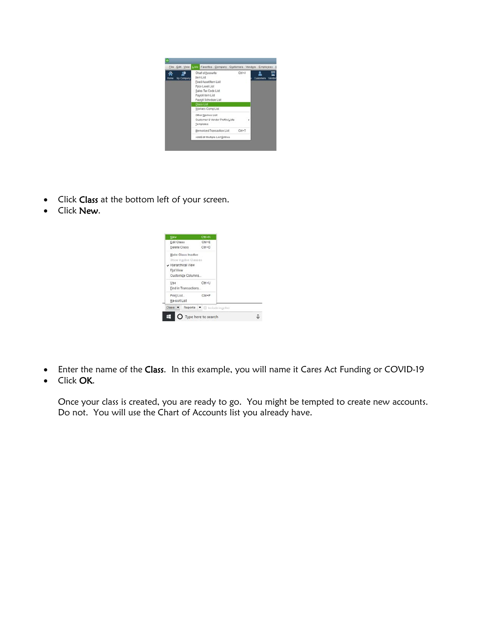

- Click Class at the bottom left of your screen.
- Click New.

| New                       | $Ctn + N$                     |  |
|---------------------------|-------------------------------|--|
| Edit Class                | $C\text{tri} + E$             |  |
| Delete Class              | Ctrl+D                        |  |
| Make Class Inactive       |                               |  |
| Show Inactive Classes     |                               |  |
| Hierarchical View         |                               |  |
| Flat View                 |                               |  |
| Customize Columns         |                               |  |
| Use                       | Ctrl+U                        |  |
| Eind in Transactions.     |                               |  |
| Print List.               | $CInI+P$                      |  |
|                           |                               |  |
| Re-son List               |                               |  |
| $Class \times$<br>Reports | <b>X:</b> El Include inactive |  |

- Enter the name of the Class. In this example, you will name it Cares Act Funding or COVID-19
- Click OK.

Once your class is created, you are ready to go. You might be tempted to create new accounts. Do not. You will use the Chart of Accounts list you already have.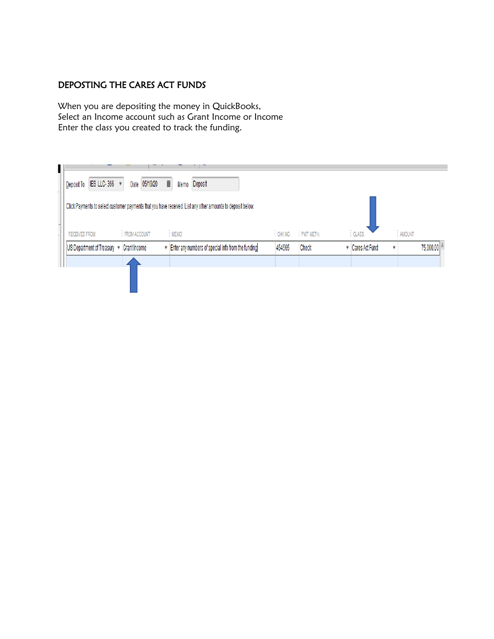#### DEPOSTING THE CARES ACT FUNDS

When you are depositing the money in QuickBooks, Select an Income account such as Grant Income or Income Enter the class you created to track the funding.

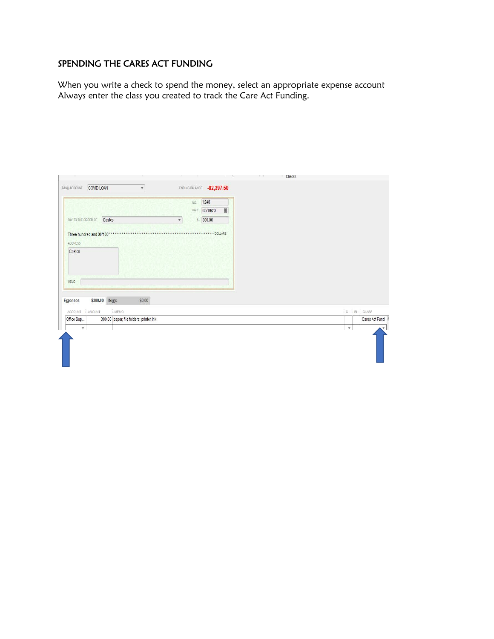#### SPENDING THE CARES ACT FUNDING

When you write a check to spend the money, select an appropriate expense account Always enter the class you created to track the Care Act Funding.

|                                                                                                   | 1248<br>NO.                                  |                           |
|---------------------------------------------------------------------------------------------------|----------------------------------------------|---------------------------|
|                                                                                                   | ■<br>05/19/20<br>DATE                        |                           |
| PAY TO THE ORDER OF<br>Costco                                                                     | $5 \quad 300.00$<br>$\overline{\phantom{a}}$ |                           |
| Three hundred and 00/100**                                                                        | ************* DOLLARS                        |                           |
| ADDRESS                                                                                           |                                              |                           |
| Costco                                                                                            |                                              |                           |
|                                                                                                   |                                              |                           |
|                                                                                                   |                                              |                           |
|                                                                                                   |                                              |                           |
|                                                                                                   |                                              |                           |
|                                                                                                   |                                              |                           |
| MEMO                                                                                              |                                              |                           |
|                                                                                                   |                                              |                           |
| \$300.00<br>Items<br>Expenses                                                                     | \$0.00                                       |                           |
|                                                                                                   |                                              |                           |
| : MEMO                                                                                            |                                              | <b>C. BL. CLASS</b>       |
| ACCOUNT : AMOUNT<br>300.00 paper; file folders; printer ink<br>Office Sup<br>$\blacktriangledown$ |                                              | Cares Act Fund<br>$\star$ |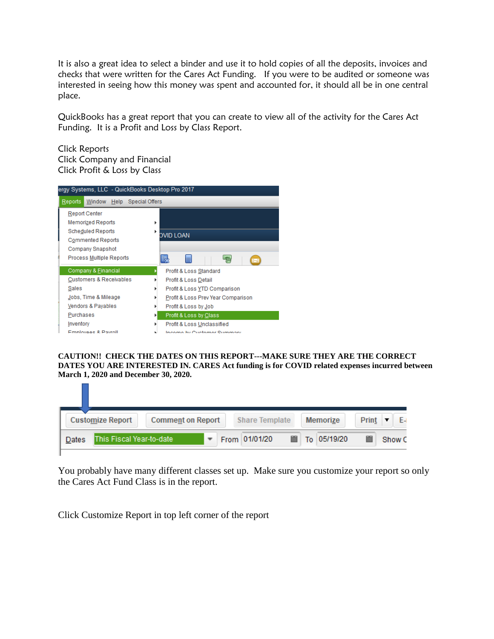It is also a great idea to select a binder and use it to hold copies of all the deposits, invoices and checks that were written for the Cares Act Funding. If you were to be audited or someone was interested in seeing how this money was spent and accounted for, it should all be in one central place.

QuickBooks has a great report that you can create to view all of the activity for the Cares Act Funding. It is a Profit and Loss by Class Report.

Click Reports Click Company and Financial Click Profit & Loss by Class



**CAUTION!! CHECK THE DATES ON THIS REPORT---MAKE SURE THEY ARE THE CORRECT DATES YOU ARE INTERESTED IN. CARES Act funding is for COVID related expenses incurred between March 1, 2020 and December 30, 2020.**

| <b>Customize Report</b>            | <b>Comment on Report</b> | <b>Share Template</b> | <b>Memorize</b>  | Print       |
|------------------------------------|--------------------------|-----------------------|------------------|-------------|
| lThis Fiscal Year-to-date<br>Dates |                          | From 01/01/20         | 鹽<br>To 05/19/20 | m<br>Show C |

You probably have many different classes set up. Make sure you customize your report so only the Cares Act Fund Class is in the report.

Click Customize Report in top left corner of the report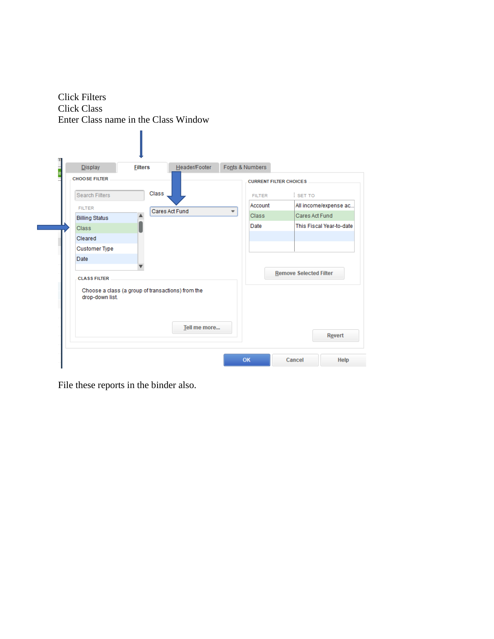Click Filters Click Class Enter Class name in the Class Window

| <b>Display</b><br>Ė<br>'e | <b>Filters</b>                                    | Header/Footer  |   | Fonts & Numbers               |                               |
|---------------------------|---------------------------------------------------|----------------|---|-------------------------------|-------------------------------|
| <b>CHOOSE FILTER</b>      |                                                   |                |   | <b>CURRENT FILTER CHOICES</b> |                               |
| <b>Search Filters</b>     | Class                                             |                |   | <b>FILTER</b>                 | $:$ SET TO                    |
| <b>FILTER</b>             |                                                   |                |   | Account                       | All income/expense ac         |
| <b>Billing Status</b>     |                                                   | Cares Act Fund | ٠ | <b>Class</b>                  | Cares Act Fund                |
| <b>Class</b>              |                                                   |                |   | Date                          | This Fiscal Year-to-date      |
| Cleared                   |                                                   |                |   |                               |                               |
| <b>Customer Type</b>      |                                                   |                |   |                               |                               |
| Date                      |                                                   |                |   |                               |                               |
|                           |                                                   |                |   |                               | <b>Remove Selected Filter</b> |
| <b>CLASS FILTER</b>       |                                                   |                |   |                               |                               |
| drop-down list.           | Choose a class (a group of transactions) from the |                |   |                               |                               |
|                           |                                                   | Tell me more   |   |                               | Revert                        |

File these reports in the binder also.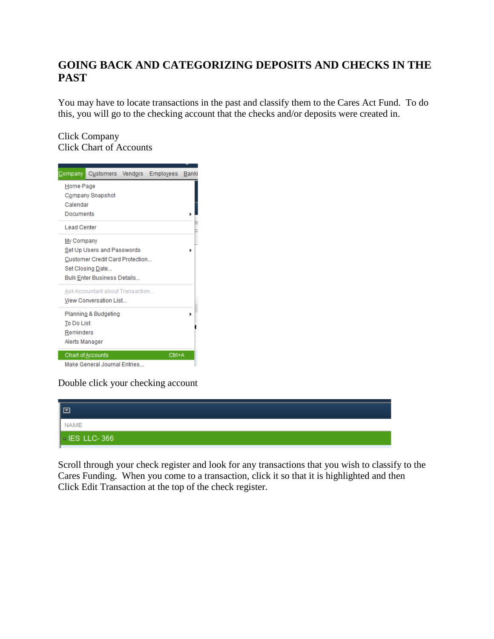### **GOING BACK AND CATEGORIZING DEPOSITS AND CHECKS IN THE PAST**

You may have to locate transactions in the past and classify them to the Cares Act Fund. To do this, you will go to the checking account that the checks and/or deposits were created in.

Click Company Click Chart of Accounts



Double click your checking account

| lo                  |  |
|---------------------|--|
| <b>NAME</b>         |  |
| $\cdot$ IES LLC-366 |  |

Scroll through your check register and look for any transactions that you wish to classify to the Cares Funding. When you come to a transaction, click it so that it is highlighted and then Click Edit Transaction at the top of the check register.